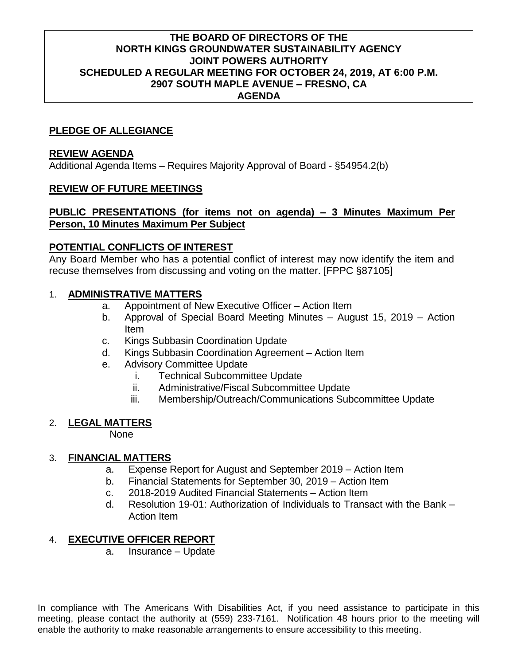## **THE BOARD OF DIRECTORS OF THE NORTH KINGS GROUNDWATER SUSTAINABILITY AGENCY JOINT POWERS AUTHORITY SCHEDULED A REGULAR MEETING FOR OCTOBER 24, 2019, AT 6:00 P.M. 2907 SOUTH MAPLE AVENUE – FRESNO, CA AGENDA**

## **PLEDGE OF ALLEGIANCE**

#### **REVIEW AGENDA**

Additional Agenda Items – Requires Majority Approval of Board - §54954.2(b)

## **REVIEW OF FUTURE MEETINGS**

#### **PUBLIC PRESENTATIONS (for items not on agenda) – 3 Minutes Maximum Per Person, 10 Minutes Maximum Per Subject**

## **POTENTIAL CONFLICTS OF INTEREST**

Any Board Member who has a potential conflict of interest may now identify the item and recuse themselves from discussing and voting on the matter. [FPPC §87105]

# 1. **ADMINISTRATIVE MATTERS**

- a. Appointment of New Executive Officer Action Item
- b. Approval of Special Board Meeting Minutes August 15, 2019 Action Item
- c. Kings Subbasin Coordination Update
- d. Kings Subbasin Coordination Agreement Action Item
- e. Advisory Committee Update
	- i. Technical Subcommittee Update
	- ii. Administrative/Fiscal Subcommittee Update
	- iii. Membership/Outreach/Communications Subcommittee Update

#### 2. **LEGAL MATTERS**

None

#### 3. **FINANCIAL MATTERS**

- a. Expense Report for August and September 2019 Action Item
- b. Financial Statements for September 30, 2019 Action Item
- c. 2018-2019 Audited Financial Statements Action Item
- d. Resolution 19-01: Authorization of Individuals to Transact with the Bank Action Item

# 4. **EXECUTIVE OFFICER REPORT**

a. Insurance – Update

In compliance with The Americans With Disabilities Act, if you need assistance to participate in this meeting, please contact the authority at (559) 233-7161. Notification 48 hours prior to the meeting will enable the authority to make reasonable arrangements to ensure accessibility to this meeting.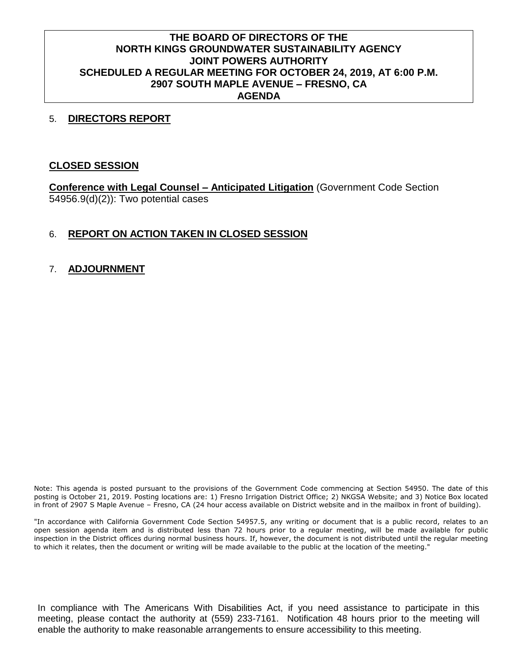# **THE BOARD OF DIRECTORS OF THE NORTH KINGS GROUNDWATER SUSTAINABILITY AGENCY JOINT POWERS AUTHORITY SCHEDULED A REGULAR MEETING FOR OCTOBER 24, 2019, AT 6:00 P.M. 2907 SOUTH MAPLE AVENUE – FRESNO, CA AGENDA**

#### 5. **DIRECTORS REPORT**

## **CLOSED SESSION**

**Conference with Legal Counsel – Anticipated Litigation** (Government Code Section 54956.9(d)(2)): Two potential cases

# 6. **REPORT ON ACTION TAKEN IN CLOSED SESSION**

# 7. **ADJOURNMENT**

Note: This agenda is posted pursuant to the provisions of the Government Code commencing at Section 54950. The date of this posting is October 21, 2019. Posting locations are: 1) Fresno Irrigation District Office; 2) NKGSA Website; and 3) Notice Box located in front of 2907 S Maple Avenue – Fresno, CA (24 hour access available on District website and in the mailbox in front of building).

"In accordance with California Government Code Section 54957.5, any writing or document that is a public record, relates to an open session agenda item and is distributed less than 72 hours prior to a regular meeting, will be made available for public inspection in the District offices during normal business hours. If, however, the document is not distributed until the regular meeting to which it relates, then the document or writing will be made available to the public at the location of the meeting."

In compliance with The Americans With Disabilities Act, if you need assistance to participate in this meeting, please contact the authority at (559) 233-7161. Notification 48 hours prior to the meeting will enable the authority to make reasonable arrangements to ensure accessibility to this meeting.